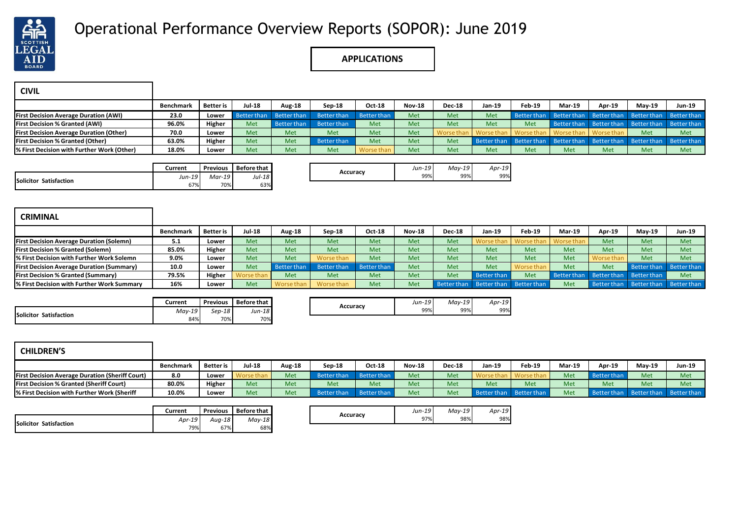

## Operational Performance Overview Reports (SOPOR): June 2019

## **APPLICATIONS**

| <b>CIVIL</b>                                   |           |           |               |             |                    |                    |               |               |        |        |                                                                         |        |          |               |
|------------------------------------------------|-----------|-----------|---------------|-------------|--------------------|--------------------|---------------|---------------|--------|--------|-------------------------------------------------------------------------|--------|----------|---------------|
|                                                | Benchmark | Better is | <b>Jul-18</b> | Aug-18      | Sep-18             | <b>Oct-18</b>      | <b>Nov-18</b> | <b>Dec-18</b> | Jan-19 | Feb-19 | <b>Mar-19</b>                                                           | Apr-19 | $May-19$ | <b>Jun-19</b> |
| <b>First Decision Average Duration (AWI)</b>   | 23.0      | Lower     | Better than   | Better than | <b>Better than</b> | <b>Better than</b> | Met           | Met           | Met    |        | Better than Better than Better than Better than Better than             |        |          |               |
| <b>First Decision % Granted (AWI)</b>          | 96.0%     | Higher    | Met           | Better than | Better than        | Met                | Met           | Met           | Met    | Met    | Better than Better than Better than Better than                         |        |          |               |
| <b>First Decision Average Duration (Other)</b> | 70.0      | Lower     | Met           | Met         | Met                | Met                | Met           |               |        |        | Worse than   Worse than   Worse than   Worse than   Worse than          |        | Met      | Met           |
| <b>First Decision % Granted (Other)</b>        | 63.0%     | Higher    | Met           | Met         | Better than        | Met                | Met           | Met           |        |        | Better than Better than Better than Better than Better than Better than |        |          |               |
| % First Decision with Further Work (Other)     | 18.0%     | Lower     | Met           | Met         | Met                | Worse than         | Met           | Met           | Met    | Met    | Met                                                                     | Met    | Met      | Met           |

|                        | Current | Previous | Before that |
|------------------------|---------|----------|-------------|
| Solicitor Satisfaction | Jun-19  | Mar-19   | $Jul-18$    |
|                        | 67%     | 70%      | 63%         |

|          | $Jun-19$ | $May-19$ | Apr<br>÷       |  |
|----------|----------|----------|----------------|--|
| Accuracy | 99%      | 99%      | 0 <sup>0</sup> |  |

| <b>CRIMINAL</b>                                  |                  |                  |               |                    |                    |                    |               |               |                         |                    |             |               |                         |                    |
|--------------------------------------------------|------------------|------------------|---------------|--------------------|--------------------|--------------------|---------------|---------------|-------------------------|--------------------|-------------|---------------|-------------------------|--------------------|
|                                                  | <b>Benchmark</b> | <b>Better</b> is | <b>Jul-18</b> | Aug-18             | $Sep-18$           | Oct-18             | <b>Nov-18</b> | <b>Dec-18</b> | Jan-19                  | Feb-19             | Mar-19      | <b>Apr-19</b> | $Mav-19$                | Jun-19             |
| <b>First Decision Average Duration (Solemn)</b>  | 5.1              | Lower            | Met           | <b>Met</b>         | Met                | Met                | Met           | Met           | Worse than              | Worse than         | Worse than  | Met           | Met                     | Met                |
| <b>First Decision % Granted (Solemn)</b>         | 85.0%            | Higher           | Met           | Met                | Met                | Met                | Met           | Met           | Met                     | Met                | Met         | Met           | Met                     | Met                |
| % First Decision with Further Work Solemn        | 9.0%             | Lower            | Met           | Met                | Worse than         | Met                | Met           | Met           | Met                     | Met                | Met         | Worse than    | Met                     | Met                |
| <b>First Decision Average Duration (Summary)</b> | 10.0             | Lower            | Met           | <b>Better than</b> | <b>Better than</b> | <b>Better than</b> | Met           | Met           | Met                     | Worse than         | Met         | Met           | Better than             | Better than        |
| <b>First Decision % Granted (Summary)</b>        | 79.5%            | Higher           | Vorse than    | Met                | Met                | Met                | Met           | Met           | Better than             | Met                | Better than |               | Better than Better than | Met                |
| % First Decision with Further Work Summary       | 16%              | Lower            | Met           | Worse than         | Worse than         | Met                | Met           |               | Better than Better than | <b>Better than</b> | Met         |               | Better than Better than | <b>Better than</b> |

|                                  | Current  | <b>Previous</b> | <b>Before that</b> |          | $Jun-19$ | Mav-19 | $Apr-19$ |
|----------------------------------|----------|-----------------|--------------------|----------|----------|--------|----------|
| <b>Solicitor</b><br>Satisfaction | $May-19$ | $Sep-18$        | $Jun-18$           | Accuracy | 99%      | 99%    | 99%      |
|                                  | 84%      | 70%             | 70%                |          |          |        |          |

| <b>CHILDREN'S</b>                                      |                  |                  |        |        |             |             |               |               |             |             |        |                         |          |               |
|--------------------------------------------------------|------------------|------------------|--------|--------|-------------|-------------|---------------|---------------|-------------|-------------|--------|-------------------------|----------|---------------|
|                                                        | <b>Benchmark</b> | <b>Better</b> is | Jul-18 | Aug-18 | Sep-18      | Oct-18      | <b>Nov-18</b> | <b>Dec-18</b> | Jan-19      | Feb-19      | Mar-19 | Apr-19                  | $Mav-19$ | <b>Jun-19</b> |
| <b>First Decision Average Duration (Sheriff Court)</b> | 8.0              | Lower            |        | Met    | Better than | Better than | Met           | Met           |             |             | Met    | Better than             | Met      | Met           |
| <b>First Decision % Granted (Sheriff Court)</b>        | 80.0%            | Higher           | Met    | Met    | Met         | Met         | Met           | Met           | Met         | Met         | Met    | Met                     | Met      | Met           |
| % First Decision with Further Work (Sheriff            | 10.0%            | Lower            | Met    | Met    | Better than | Better than | Met           | Met           | Better than | Better than | Met    | Better than Better than |          | Better than   |

|                        | Current   | Previous | <b>Before that</b> |
|------------------------|-----------|----------|--------------------|
| Solicitor Satisfaction | $A$ pr-19 | $Auq-18$ | Mav-18             |
|                        | 79%       | 67%      | 68%                |

|          | $Jun-19$ | $May-19$ | $Apr-19$ |
|----------|----------|----------|----------|
| Accuracy | 170/     | 98%      | 00/      |